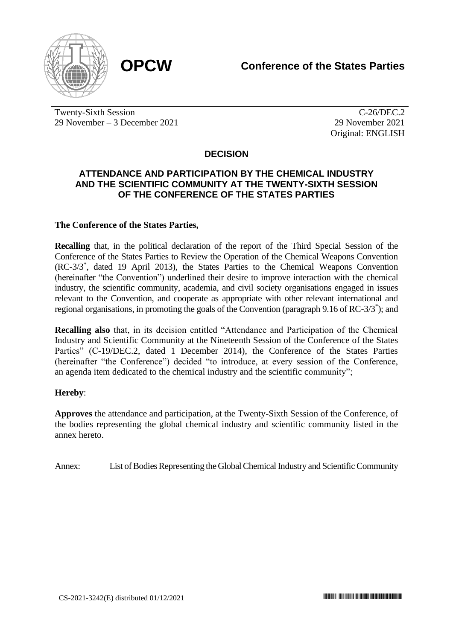

Twenty-Sixth Session 29 November – 3 December 2021

C-26/DEC.2 29 November 2021 Original: ENGLISH

# **DECISION**

### **ATTENDANCE AND PARTICIPATION BY THE CHEMICAL INDUSTRY AND THE SCIENTIFIC COMMUNITY AT THE TWENTY-SIXTH SESSION OF THE CONFERENCE OF THE STATES PARTIES**

### **The Conference of the States Parties,**

**Recalling** that, in the political declaration of the report of the Third Special Session of the Conference of the States Parties to Review the Operation of the Chemical Weapons Convention (RC-3/3\* , dated 19 April 2013), the States Parties to the Chemical Weapons Convention (hereinafter "the Convention") underlined their desire to improve interaction with the chemical industry, the scientific community, academia, and civil society organisations engaged in issues relevant to the Convention, and cooperate as appropriate with other relevant international and regional organisations, in promoting the goals of the Convention (paragraph 9.16 of RC-3/3\* ); and

**Recalling also** that, in its decision entitled "Attendance and Participation of the Chemical Industry and Scientific Community at the Nineteenth Session of the Conference of the States Parties" (C-19/DEC.2, dated 1 December 2014), the Conference of the States Parties (hereinafter "the Conference") decided "to introduce, at every session of the Conference, an agenda item dedicated to the chemical industry and the scientific community";

#### **Hereby**:

**Approves** the attendance and participation, at the Twenty-Sixth Session of the Conference, of the bodies representing the global chemical industry and scientific community listed in the annex hereto.

Annex: List of Bodies Representing the Global Chemical Industry and Scientific Community